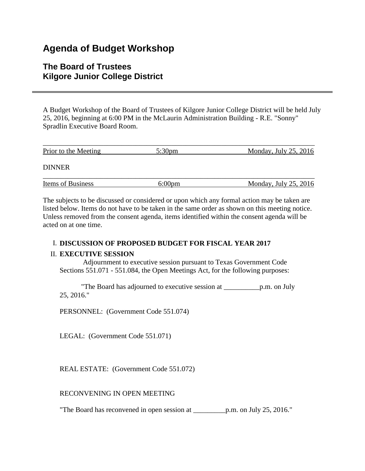# **Agenda of Budget Workshop**

# **The Board of Trustees Kilgore Junior College District**

A Budget Workshop of the Board of Trustees of Kilgore Junior College District will be held July 25, 2016, beginning at 6:00 PM in the McLaurin Administration Building - R.E. "Sonny" Spradlin Executive Board Room.

| Prior to the Meeting     | $5:30 \text{pm}$ | Monday, July $25, 2016$    |
|--------------------------|------------------|----------------------------|
| <b>DINNER</b>            |                  |                            |
| <b>Items of Business</b> | $6:00 \text{pm}$ | Monday, July $25$ , $2016$ |

The subjects to be discussed or considered or upon which any formal action may be taken are listed below. Items do not have to be taken in the same order as shown on this meeting notice. Unless removed from the consent agenda, items identified within the consent agenda will be acted on at one time.

## I. **DISCUSSION OF PROPOSED BUDGET FOR FISCAL YEAR 2017**

### II. **EXECUTIVE SESSION**

 Adjournment to executive session pursuant to Texas Government Code Sections 551.071 - 551.084, the Open Meetings Act, for the following purposes:

 "The Board has adjourned to executive session at \_\_\_\_\_\_\_\_\_\_p.m. on July 25, 2016."

PERSONNEL: (Government Code 551.074)

LEGAL: (Government Code 551.071)

REAL ESTATE: (Government Code 551.072)

RECONVENING IN OPEN MEETING

"The Board has reconvened in open session at \_\_\_\_\_\_\_\_\_p.m. on July 25, 2016."